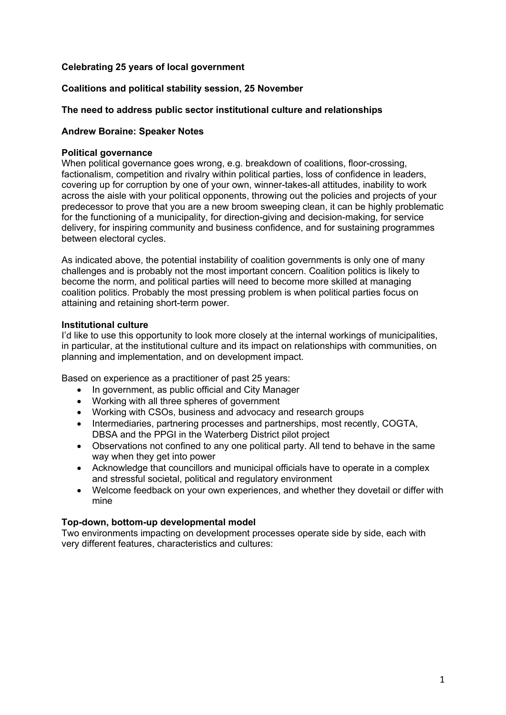# **Celebrating 25 years of local government**

# **Coalitions and political stability session, 25 November**

## **The need to address public sector institutional culture and relationships**

#### **Andrew Boraine: Speaker Notes**

#### **Political governance**

When political governance goes wrong, e.g. breakdown of coalitions, floor-crossing, factionalism, competition and rivalry within political parties, loss of confidence in leaders, covering up for corruption by one of your own, winner-takes-all attitudes, inability to work across the aisle with your political opponents, throwing out the policies and projects of your predecessor to prove that you are a new broom sweeping clean, it can be highly problematic for the functioning of a municipality, for direction-giving and decision-making, for service delivery, for inspiring community and business confidence, and for sustaining programmes between electoral cycles.

As indicated above, the potential instability of coalition governments is only one of many challenges and is probably not the most important concern. Coalition politics is likely to become the norm, and political parties will need to become more skilled at managing coalition politics. Probably the most pressing problem is when political parties focus on attaining and retaining short-term power.

#### **Institutional culture**

I'd like to use this opportunity to look more closely at the internal workings of municipalities, in particular, at the institutional culture and its impact on relationships with communities, on planning and implementation, and on development impact.

Based on experience as a practitioner of past 25 years:

- In government, as public official and City Manager
- Working with all three spheres of government
- Working with CSOs, business and advocacy and research groups
- Intermediaries, partnering processes and partnerships, most recently, COGTA, DBSA and the PPGI in the Waterberg District pilot project
- Observations not confined to any one political party. All tend to behave in the same way when they get into power
- Acknowledge that councillors and municipal officials have to operate in a complex and stressful societal, political and regulatory environment
- Welcome feedback on your own experiences, and whether they dovetail or differ with mine

#### **Top-down, bottom-up developmental model**

Two environments impacting on development processes operate side by side, each with very different features, characteristics and cultures: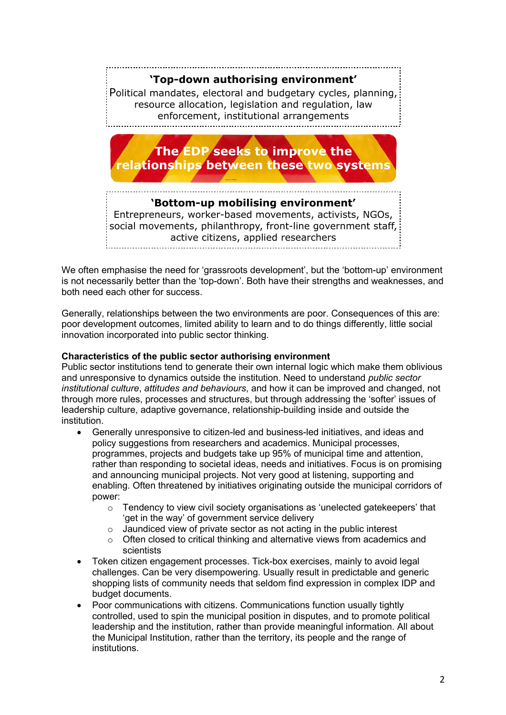# **'Top-down authorising environment'**

Political mandates, electoral and budgetary cycles, planning, resource allocation, legislation and regulation, law enforcement, institutional arrangements



Entrepreneurs, worker-based movements, activists, NGOs, social movements, philanthropy, front-line government staff, active citizens, applied researchers

We often emphasise the need for 'grassroots development', but the 'bottom-up' environment is not necessarily better than the 'top-down'. Both have their strengths and weaknesses, and both need each other for success.

Generally, relationships between the two environments are poor. Consequences of this are: poor development outcomes, limited ability to learn and to do things differently, little social innovation incorporated into public sector thinking.

# **Characteristics of the public sector authorising environment**

Public sector institutions tend to generate their own internal logic which make them oblivious and unresponsive to dynamics outside the institution. Need to understand *public sector institutional culture*, *attitudes and behaviours*, and how it can be improved and changed, not through more rules, processes and structures, but through addressing the 'softer' issues of leadership culture, adaptive governance, relationship-building inside and outside the institution.

- Generally unresponsive to citizen-led and business-led initiatives, and ideas and policy suggestions from researchers and academics. Municipal processes, programmes, projects and budgets take up 95% of municipal time and attention, rather than responding to societal ideas, needs and initiatives. Focus is on promising and announcing municipal projects. Not very good at listening, supporting and enabling. Often threatened by initiatives originating outside the municipal corridors of power:
	- $\circ$  Tendency to view civil society organisations as 'unelected gatekeepers' that 'get in the way' of government service delivery
	- $\circ$  Jaundiced view of private sector as not acting in the public interest
	- $\circ$  Often closed to critical thinking and alternative views from academics and scientists
- Token citizen engagement processes. Tick-box exercises, mainly to avoid legal challenges. Can be very disempowering. Usually result in predictable and generic shopping lists of community needs that seldom find expression in complex IDP and budget documents.
- Poor communications with citizens. Communications function usually tightly controlled, used to spin the municipal position in disputes, and to promote political leadership and the institution, rather than provide meaningful information. All about the Municipal Institution, rather than the territory, its people and the range of institutions.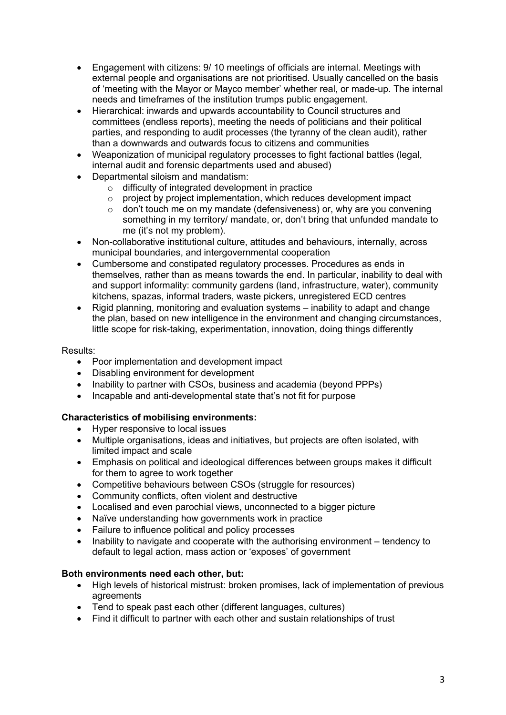- Engagement with citizens: 9/ 10 meetings of officials are internal. Meetings with external people and organisations are not prioritised. Usually cancelled on the basis of 'meeting with the Mayor or Mayco member' whether real, or made-up. The internal needs and timeframes of the institution trumps public engagement.
- Hierarchical: inwards and upwards accountability to Council structures and committees (endless reports), meeting the needs of politicians and their political parties, and responding to audit processes (the tyranny of the clean audit), rather than a downwards and outwards focus to citizens and communities
- Weaponization of municipal regulatory processes to fight factional battles (legal, internal audit and forensic departments used and abused)
- Departmental siloism and mandatism:
	- o difficulty of integrated development in practice
	- $\circ$  project by project implementation, which reduces development impact
	- o don't touch me on my mandate (defensiveness) or, why are you convening something in my territory/ mandate, or, don't bring that unfunded mandate to me (it's not my problem).
- Non-collaborative institutional culture, attitudes and behaviours, internally, across municipal boundaries, and intergovernmental cooperation
- Cumbersome and constipated regulatory processes. Procedures as ends in themselves, rather than as means towards the end. In particular, inability to deal with and support informality: community gardens (land, infrastructure, water), community kitchens, spazas, informal traders, waste pickers, unregistered ECD centres
- Rigid planning, monitoring and evaluation systems inability to adapt and change the plan, based on new intelligence in the environment and changing circumstances, little scope for risk-taking, experimentation, innovation, doing things differently

## Results:

- Poor implementation and development impact
- Disabling environment for development
- Inability to partner with CSOs, business and academia (beyond PPPs)
- Incapable and anti-developmental state that's not fit for purpose

# **Characteristics of mobilising environments:**

- Hyper responsive to local issues
- Multiple organisations, ideas and initiatives, but projects are often isolated, with limited impact and scale
- Emphasis on political and ideological differences between groups makes it difficult for them to agree to work together
- Competitive behaviours between CSOs (struggle for resources)
- Community conflicts, often violent and destructive
- Localised and even parochial views, unconnected to a bigger picture
- Naïve understanding how governments work in practice
- Failure to influence political and policy processes
- Inability to navigate and cooperate with the authorising environment tendency to default to legal action, mass action or 'exposes' of government

## **Both environments need each other, but:**

- High levels of historical mistrust: broken promises, lack of implementation of previous agreements
- Tend to speak past each other (different languages, cultures)
- Find it difficult to partner with each other and sustain relationships of trust